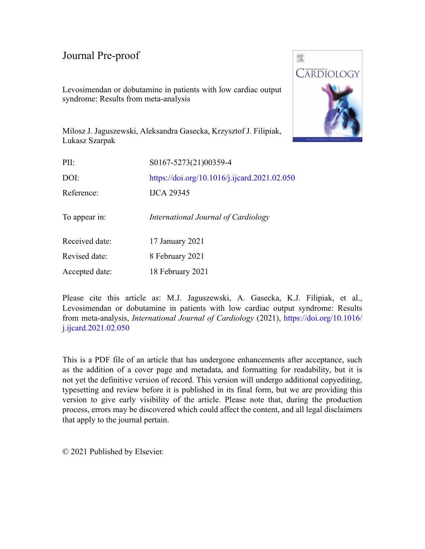## Journal Pre-proof

Levosimendan or dobutamine in patients with low cardiac output syndrome: Results from meta-analysis



Milosz J. Jaguszewski, Aleksandra Gasecka, Krzysztof J. Filipiak, Lukasz Szarpak

| PII:           | S0167-5273(21)00359-4                        |
|----------------|----------------------------------------------|
| DOI:           | https://doi.org/10.1016/j.ijcard.2021.02.050 |
| Reference:     | <b>IJCA 29345</b>                            |
| To appear in:  | International Journal of Cardiology          |
| Received date: | 17 January 2021                              |
| Revised date:  | 8 February 2021                              |
| Accepted date: | 18 February 2021                             |

Please cite this article as: M.J. Jaguszewski, A. Gasecka, K.J. Filipiak, et al., Levosimendan or dobutamine in patients with low cardiac output syndrome: Results from meta-analysis, *International Journal of Cardiology* (2021), [https://doi.org/10.1016/](https://doi.org/10.1016/j.ijcard.2021.02.050) [j.ijcard.2021.02.050](https://doi.org/10.1016/j.ijcard.2021.02.050)

This is a PDF file of an article that has undergone enhancements after acceptance, such as the addition of a cover page and metadata, and formatting for readability, but it is not yet the definitive version of record. This version will undergo additional copyediting, typesetting and review before it is published in its final form, but we are providing this version to give early visibility of the article. Please note that, during the production process, errors may be discovered which could affect the content, and all legal disclaimers that apply to the journal pertain.

© 2021 Published by Elsevier.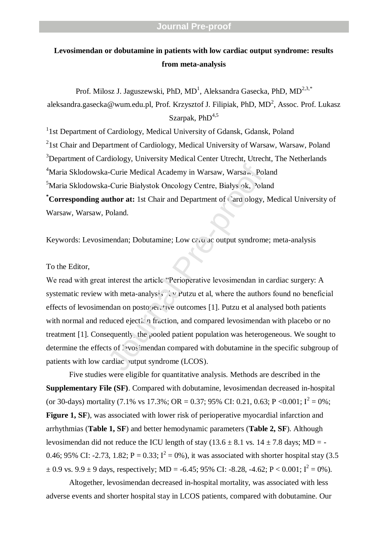## **Levosimendan or dobutamine in patients with low cardiac output syndrome: results from meta-analysis**

Prof. Milosz J. Jaguszewski, PhD,  $MD<sup>1</sup>$ , Aleksandra Gasecka, PhD,  $MD<sup>2,3,*</sup>$ aleksandra.gasecka@wum.edu.pl, Prof. Krzysztof J. Filipiak, PhD, MD<sup>2</sup>, Assoc. Prof. Lukasz Szarpak,  $PhD<sup>4,5</sup>$ 

<sup>1</sup>1st Department of Cardiology, Medical University of Gdansk, Gdansk, Poland  $2$ 1st Chair and Department of Cardiology, Medical University of Warsaw, Warsaw, Poland <sup>3</sup>Department of Cardiology, University Medical Center Utrecht, Utrecht, The Netherlands <sup>4</sup>Maria Sklodowska-Curie Medical Academy in Warsaw, Warsa <sup>5</sup>Maria Sklodowska-Curie Białystok Oncology Centre, Białys ok, Poland **\*Corresponding author at:** 1st Chair and Department of Cardiology, Medical University of Warsaw, Warsaw, Poland.

Keywords: Levosimendan; Dobutamine; Low cardiac output syndrome; meta-analysis

## To the Editor,

We read with great interest the article "Perioperative levosimendan in cardiac surgery: A systematic review with meta-analysis  $\mathcal{S}$  Putzu et al, where the authors found no beneficial effects of levosimendan on postoperative outcomes [1]. Putzu et al analysed both patients with normal and reduced ejection fraction, and compared levosimendan with placebo or no treatment [1]. Consequently, the pooled patient population was heterogeneous. We sought to determine the effects of levos imendan compared with dobutamine in the specific subgroup of patients with low cardiac vutput syndrome (LCOS). a-Curie Medical Academy in Warsaw, Warsa . Pola<br>
-Curie Białystok Oncology Centre, Białys ok, <sup>3</sup>ola<br> **uthor at:** 1st Chair and Department of Card ology,<br>
Poland.<br>
mendan; Dobutamine; Low ce .u<sup>3</sup> ac output syndrome<br>
inter

Five studies were eligible for quantitative analysis. Methods are described in the **Supplementary File (SF)**. Compared with dobutamine, levosimendan decreased in-hospital (or 30-days) mortality (7.1% vs 17.3%; OR = 0.37; 95% CI: 0.21, 0.63; P < 0.001;  $I^2 = 0$ %; **Figure 1, SF**), was associated with lower risk of perioperative myocardial infarction and arrhythmias (**Table 1, SF**) and better hemodynamic parameters (**Table 2, SF**). Although levosimendan did not reduce the ICU length of stay ( $13.6 \pm 8.1$  vs.  $14 \pm 7.8$  days; MD = -0.46; 95% CI: -2.73, 1.82;  $P = 0.33$ ;  $I^2 = 0$ %), it was associated with shorter hospital stay (3.5)  $\pm$  0.9 vs. 9.9  $\pm$  9 days, respectively; MD = -6.45; 95% CI: -8.28, -4.62; P < 0.001; I<sup>2</sup> = 0%).

Altogether, levosimendan decreased in-hospital mortality, was associated with less adverse events and shorter hospital stay in LCOS patients, compared with dobutamine. Our